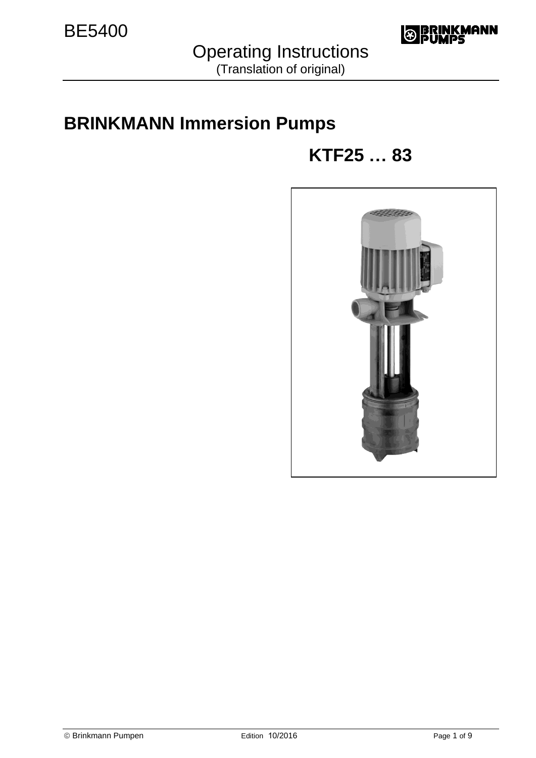

Operating Instructions

# (Translation of original)

# **BRINKMANN Immersion Pumps**

# **KTF25 … 83**

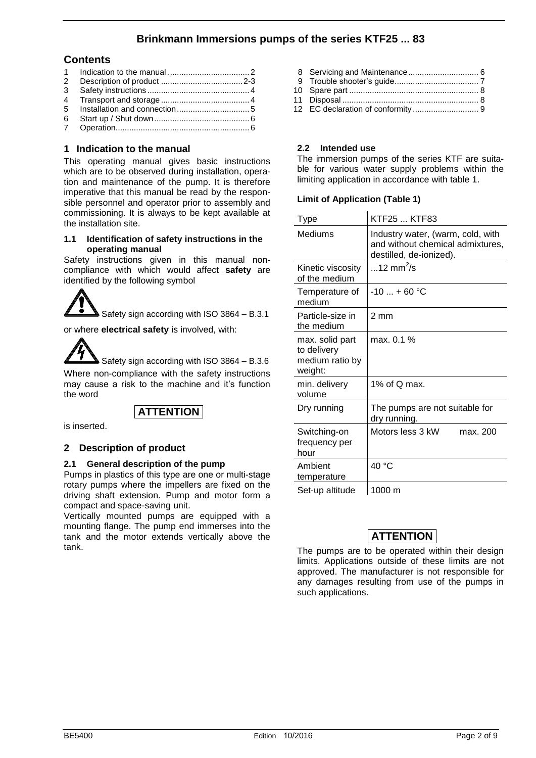# **Brinkmann Immersions pumps of the series KTF25 ... 83**

#### **Contents**

- 1 Indication to the manual .................................... 2 2 Description of product .................................... 2-3 3 Safety instructions ............................................. 4 4 Transport and storage ....................................... 4 5 Installation and connection ................................ 5 6 Start up / Shut down .......................................... 6
- 7 Operation ........................................................... 6

#### **1 Indication to the manual**

This operating manual gives basic instructions which are to be observed during installation, operation and maintenance of the pump. It is therefore imperative that this manual be read by the responsible personnel and operator prior to assembly and commissioning. It is always to be kept available at the installation site.

#### **1.1 Identification of safety instructions in the operating manual**

Safety instructions given in this manual noncompliance with which would affect **safety** are identified by the following symbol

Safety sign according with ISO 3864 – B.3.1

or where **electrical safety** is involved, with:



# **ATTENTION**

is inserted.

#### **2 Description of product**

#### **2.1 General description of the pump**

Pumps in plastics of this type are one or multi-stage rotary pumps where the impellers are fixed on the driving shaft extension. Pump and motor form a compact and space-saving unit.

Vertically mounted pumps are equipped with a mounting flange. The pump end immerses into the tank and the motor extends vertically above the tank.

| $\mathbf{a}$ is the set of the set of $\mathbf{a}$ |  |
|----------------------------------------------------|--|

12 EC declaration of conformity ............................. 9

#### **2.2 Intended use**

The immersion pumps of the series KTF are suitable for various water supply problems within the limiting application in accordance with table 1.

#### **Limit of Application (Table 1)**

| Type                                                         | KTF25  KTF83                                                                                     |
|--------------------------------------------------------------|--------------------------------------------------------------------------------------------------|
| Mediums                                                      | Industry water, (warm, cold, with<br>and without chemical admixtures,<br>destilled, de-ionized). |
| Kinetic viscosity<br>of the medium                           | 12 mm <sup>2</sup> /s                                                                            |
| Temperature of<br>medium                                     | $-10$ + 60 °C                                                                                    |
| Particle-size in<br>the medium                               | 2 mm                                                                                             |
| max. solid part<br>to delivery<br>medium ratio by<br>weight: | max. 0.1 %                                                                                       |
| min. delivery<br>volume                                      | 1% of Q max.                                                                                     |
| Dry running                                                  | The pumps are not suitable for<br>dry running.                                                   |
| Switching-on<br>frequency per<br>hour                        | Motors less 3 kW<br>max. 200                                                                     |
| Ambient<br>temperature                                       | 40 °C                                                                                            |
| Set-up altitude                                              | 1000 m                                                                                           |

# **ATTENTION**

The pumps are to be operated within their design limits. Applications outside of these limits are not approved. The manufacturer is not responsible for any damages resulting from use of the pumps in such applications.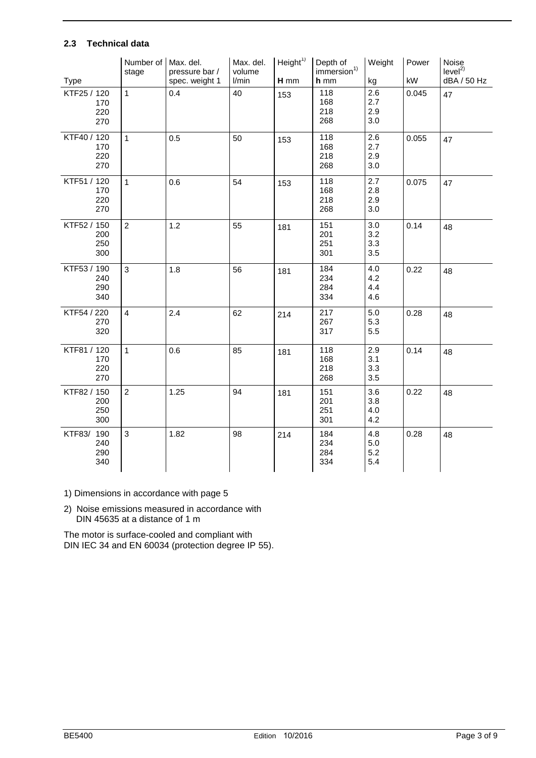#### **2.3 Technical data**

| <b>Type</b>                      | Number of<br>stage | Max. del.<br>pressure bar /<br>spec. weight 1 | Max. del.<br>volume<br>I/min | Height <sup>1</sup><br>$H$ mm | Depth of<br>immersion <sup>1)</sup><br>h mm | Weight<br>kg             | Power<br>kW | Noise<br>level <sup>2</sup><br>dBA / 50 Hz |
|----------------------------------|--------------------|-----------------------------------------------|------------------------------|-------------------------------|---------------------------------------------|--------------------------|-------------|--------------------------------------------|
| KTF25 / 120<br>170<br>220<br>270 | $\mathbf{1}$       | 0.4                                           | 40                           | 153                           | 118<br>168<br>218<br>268                    | 2.6<br>2.7<br>2.9<br>3.0 | 0.045       | 47                                         |
| KTF40 / 120<br>170<br>220<br>270 | $\mathbf{1}$       | 0.5                                           | 50                           | 153                           | 118<br>168<br>218<br>268                    | 2.6<br>2.7<br>2.9<br>3.0 | 0.055       | 47                                         |
| KTF51 / 120<br>170<br>220<br>270 | $\mathbf{1}$       | 0.6                                           | 54                           | 153                           | 118<br>168<br>218<br>268                    | 2.7<br>2.8<br>2.9<br>3.0 | 0.075       | 47                                         |
| KTF52 / 150<br>200<br>250<br>300 | $\overline{2}$     | 1.2                                           | 55                           | 181                           | 151<br>201<br>251<br>301                    | 3.0<br>3.2<br>3.3<br>3.5 | 0.14        | 48                                         |
| KTF53 / 190<br>240<br>290<br>340 | 3                  | 1.8                                           | 56                           | 181                           | 184<br>234<br>284<br>334                    | 4.0<br>4.2<br>4.4<br>4.6 | 0.22        | 48                                         |
| KTF54 / 220<br>270<br>320        | $\overline{4}$     | 2.4                                           | 62                           | 214                           | 217<br>267<br>317                           | 5.0<br>5.3<br>5.5        | 0.28        | 48                                         |
| KTF81 / 120<br>170<br>220<br>270 | $\mathbf{1}$       | 0.6                                           | 85                           | 181                           | 118<br>168<br>218<br>268                    | 2.9<br>3.1<br>3.3<br>3.5 | 0.14        | 48                                         |
| KTF82 / 150<br>200<br>250<br>300 | $\overline{2}$     | 1.25                                          | 94                           | 181                           | 151<br>201<br>251<br>301                    | 3.6<br>3.8<br>4.0<br>4.2 | 0.22        | 48                                         |
| KTF83/ 190<br>240<br>290<br>340  | 3                  | 1.82                                          | 98                           | 214                           | 184<br>234<br>284<br>334                    | 4.8<br>5.0<br>5.2<br>5.4 | 0.28        | 48                                         |

1) Dimensions in accordance with page 5

2) Noise emissions measured in accordance with DIN 45635 at a distance of 1 m

The motor is surface-cooled and compliant with DIN IEC 34 and EN 60034 (protection degree IP 55).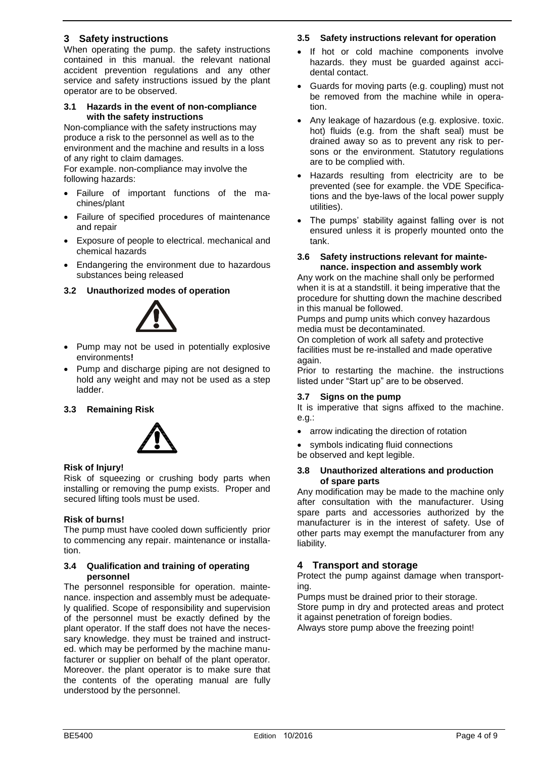#### **3 Safety instructions**

When operating the pump. the safety instructions contained in this manual. the relevant national accident prevention regulations and any other service and safety instructions issued by the plant operator are to be observed.

#### **3.1 Hazards in the event of non-compliance with the safety instructions**

Non-compliance with the safety instructions may produce a risk to the personnel as well as to the environment and the machine and results in a loss of any right to claim damages.

For example. non-compliance may involve the following hazards:

- Failure of important functions of the machines/plant
- Failure of specified procedures of maintenance and repair
- Exposure of people to electrical. mechanical and chemical hazards
- Endangering the environment due to hazardous substances being released

#### **3.2 Unauthorized modes of operation**



- Pump may not be used in potentially explosive environments**!**
- Pump and discharge piping are not designed to hold any weight and may not be used as a step ladder.

#### **3.3 Remaining Risk**



#### **Risk of Injury!**

Risk of squeezing or crushing body parts when installing or removing the pump exists. Proper and secured lifting tools must be used.

#### **Risk of burns!**

The pump must have cooled down sufficiently prior to commencing any repair. maintenance or installation.

#### **3.4 Qualification and training of operating personnel**

The personnel responsible for operation. maintenance. inspection and assembly must be adequately qualified. Scope of responsibility and supervision of the personnel must be exactly defined by the plant operator. If the staff does not have the necessary knowledge. they must be trained and instructed. which may be performed by the machine manufacturer or supplier on behalf of the plant operator. Moreover. the plant operator is to make sure that the contents of the operating manual are fully understood by the personnel.

#### **3.5 Safety instructions relevant for operation**

- If hot or cold machine components involve hazards. they must be guarded against accidental contact.
- Guards for moving parts (e.g. coupling) must not be removed from the machine while in operation.
- Any leakage of hazardous (e.g. explosive. toxic. hot) fluids (e.g. from the shaft seal) must be drained away so as to prevent any risk to persons or the environment. Statutory regulations are to be complied with.
- Hazards resulting from electricity are to be prevented (see for example. the VDE Specifications and the bye-laws of the local power supply utilities).
- The pumps' stability against falling over is not ensured unless it is properly mounted onto the tank.

#### **3.6 Safety instructions relevant for maintenance. inspection and assembly work**

Any work on the machine shall only be performed when it is at a standstill. it being imperative that the procedure for shutting down the machine described in this manual be followed.

Pumps and pump units which convey hazardous media must be decontaminated.

On completion of work all safety and protective facilities must be re-installed and made operative again.

Prior to restarting the machine. the instructions listed under "Start up" are to be observed.

#### **3.7 Signs on the pump**

It is imperative that signs affixed to the machine. e.g.:

- arrow indicating the direction of rotation
- symbols indicating fluid connections
- be observed and kept legible.

#### **3.8 Unauthorized alterations and production of spare parts**

Any modification may be made to the machine only after consultation with the manufacturer. Using spare parts and accessories authorized by the manufacturer is in the interest of safety. Use of other parts may exempt the manufacturer from any liability.

#### **4 Transport and storage**

Protect the pump against damage when transporting.

Pumps must be drained prior to their storage.

Store pump in dry and protected areas and protect it against penetration of foreign bodies.

Always store pump above the freezing point!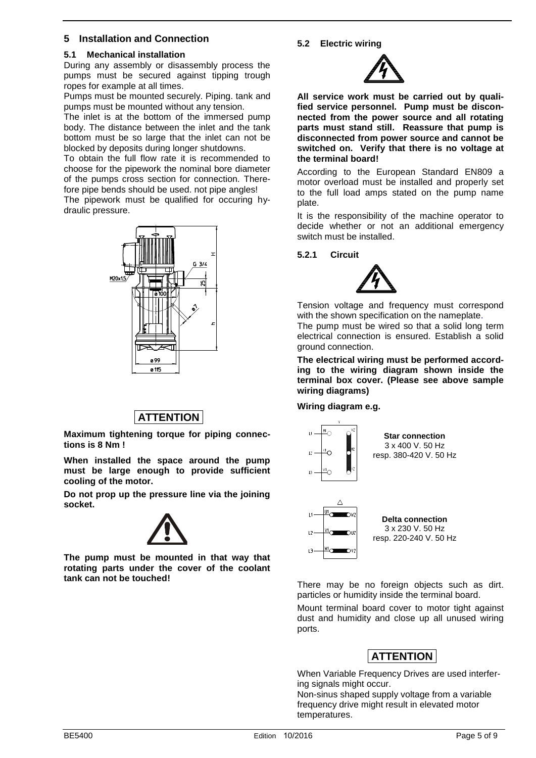#### **5 Installation and Connection**

#### **5.1 Mechanical installation**

During any assembly or disassembly process the pumps must be secured against tipping trough ropes for example at all times.

Pumps must be mounted securely. Piping. tank and pumps must be mounted without any tension.

The inlet is at the bottom of the immersed pump body. The distance between the inlet and the tank bottom must be so large that the inlet can not be blocked by deposits during longer shutdowns.

To obtain the full flow rate it is recommended to choose for the pipework the nominal bore diameter of the pumps cross section for connection. Therefore pipe bends should be used. not pipe angles!

The pipework must be qualified for occuring hydraulic pressure.



# **ATTENTION**

**Maximum tightening torque for piping connections is 8 Nm !**

**When installed the space around the pump must be large enough to provide sufficient cooling of the motor.** 

**Do not prop up the pressure line via the joining socket.** 



**The pump must be mounted in that way that rotating parts under the cover of the coolant tank can not be touched!** 

#### **5.2 Electric wiring**



**All service work must be carried out by qualified service personnel. Pump must be disconnected from the power source and all rotating parts must stand still. Reassure that pump is disconnected from power source and cannot be switched on. Verify that there is no voltage at the terminal board!** 

According to the European Standard EN809 a motor overload must be installed and properly set to the full load amps stated on the pump name plate.

It is the responsibility of the machine operator to decide whether or not an additional emergency switch must be installed.

#### **5.2.1 Circuit**



Tension voltage and frequency must correspond with the shown specification on the nameplate.

The pump must be wired so that a solid long term electrical connection is ensured. Establish a solid ground connection.

**The electrical wiring must be performed according to the wiring diagram shown inside the terminal box cover. (Please see above sample wiring diagrams)** 

#### **Wiring diagram e.g.**



There may be no foreign objects such as dirt. particles or humidity inside the terminal board.

Mount terminal board cover to motor tight against dust and humidity and close up all unused wiring ports.

#### **ATTENTION**

When Variable Frequency Drives are used interfering signals might occur.

Non-sinus shaped supply voltage from a variable frequency drive might result in elevated motor temperatures.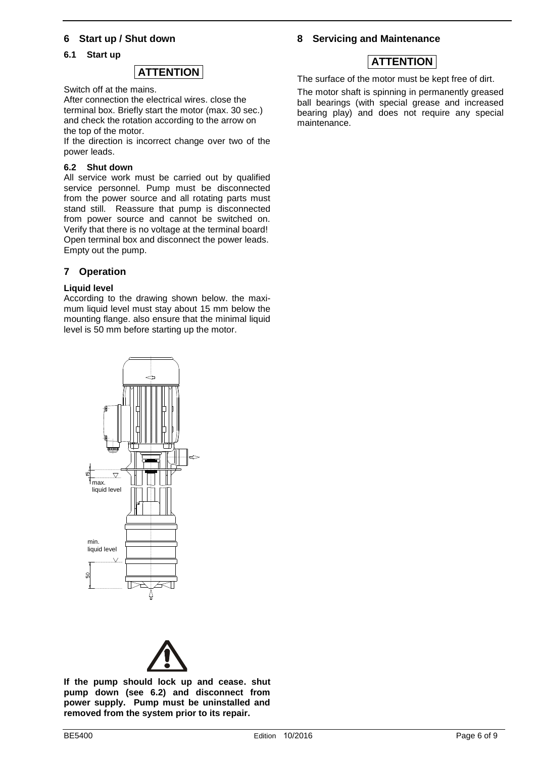#### **6 Start up / Shut down**

#### **6.1 Start up**



Switch off at the mains.

After connection the electrical wires. close the terminal box. Briefly start the motor (max. 30 sec.) and check the rotation according to the arrow on the top of the motor.

If the direction is incorrect change over two of the power leads.

#### **6.2 Shut down**

All service work must be carried out by qualified service personnel. Pump must be disconnected from the power source and all rotating parts must stand still. Reassure that pump is disconnected from power source and cannot be switched on. Verify that there is no voltage at the terminal board! Open terminal box and disconnect the power leads. Empty out the pump.

#### **7 Operation**

#### **Liquid level**

According to the drawing shown below. the maximum liquid level must stay about 15 mm below the mounting flange. also ensure that the minimal liquid level is 50 mm before starting up the motor.

# max. liquid level



**If the pump should lock up and cease. shut pump down (see 6.2) and disconnect from power supply. Pump must be uninstalled and removed from the system prior to its repair.** 

#### **8 Servicing and Maintenance**

### **ATTENTION**

The surface of the motor must be kept free of dirt.

The motor shaft is spinning in permanently greased ball bearings (with special grease and increased bearing play) and does not require any special maintenance.

min. liquid level  $\sqrt{}$ 

ငှ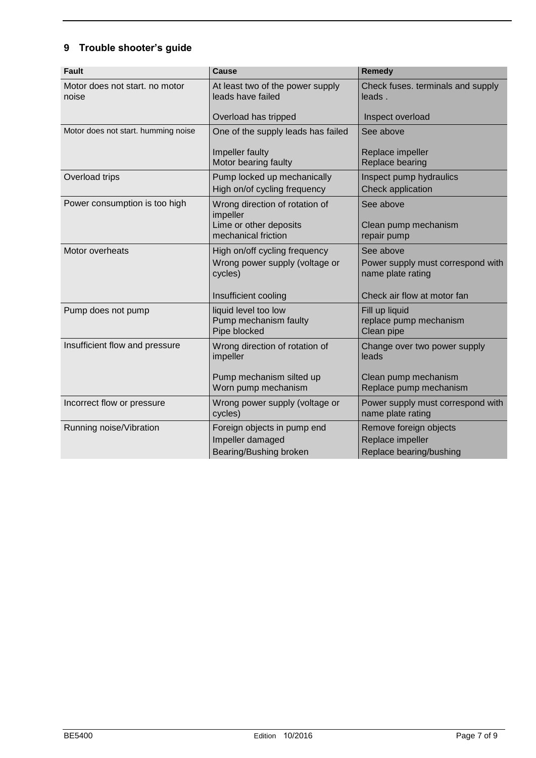# **9 Trouble shooter's guide**

| <b>Fault</b>                            | <b>Cause</b>                                                                                       | Remedy                                                                                             |
|-----------------------------------------|----------------------------------------------------------------------------------------------------|----------------------------------------------------------------------------------------------------|
| Motor does not start, no motor<br>noise | At least two of the power supply<br>leads have failed                                              | Check fuses. terminals and supply<br>leads.                                                        |
|                                         | Overload has tripped                                                                               | Inspect overload                                                                                   |
| Motor does not start. humming noise     | One of the supply leads has failed                                                                 | See above                                                                                          |
|                                         | Impeller faulty<br>Motor bearing faulty                                                            | Replace impeller<br><b>Replace bearing</b>                                                         |
| Overload trips                          | Pump locked up mechanically<br>High on/of cycling frequency                                        | Inspect pump hydraulics<br>Check application                                                       |
| Power consumption is too high           | Wrong direction of rotation of<br>impeller<br>Lime or other deposits<br>mechanical friction        | See above<br>Clean pump mechanism<br>repair pump                                                   |
| Motor overheats                         | High on/off cycling frequency<br>Wrong power supply (voltage or<br>cycles)<br>Insufficient cooling | See above<br>Power supply must correspond with<br>name plate rating<br>Check air flow at motor fan |
| Pump does not pump                      | liquid level too low<br>Pump mechanism faulty<br>Pipe blocked                                      | Fill up liquid<br>replace pump mechanism<br>Clean pipe                                             |
| Insufficient flow and pressure          | Wrong direction of rotation of<br>impeller<br>Pump mechanism silted up<br>Worn pump mechanism      | Change over two power supply<br>leads<br>Clean pump mechanism<br>Replace pump mechanism            |
| Incorrect flow or pressure              | Wrong power supply (voltage or<br>cycles)                                                          | Power supply must correspond with<br>name plate rating                                             |
| Running noise/Vibration                 | Foreign objects in pump end<br>Impeller damaged<br>Bearing/Bushing broken                          | Remove foreign objects<br>Replace impeller<br>Replace bearing/bushing                              |